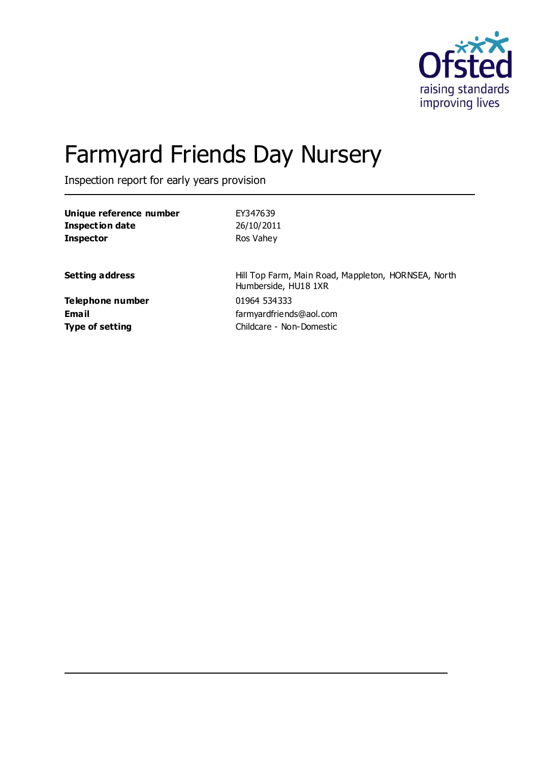

# Farmyard Friends Day Nursery

Inspection report for early years provision

| Unique reference number | EY347639                                                                    |
|-------------------------|-----------------------------------------------------------------------------|
| Inspection date         | 26/10/2011                                                                  |
| <b>Inspector</b>        | Ros Vahey                                                                   |
| <b>Setting address</b>  | Hill Top Farm, Main Road, Mappleton, HORNSEA, North<br>Humberside, HU18 1XR |
| Telephone number        | 01964 534333                                                                |
| Email                   | farmyardfriends@aol.com                                                     |
| <b>Type of setting</b>  | Childcare - Non-Domestic                                                    |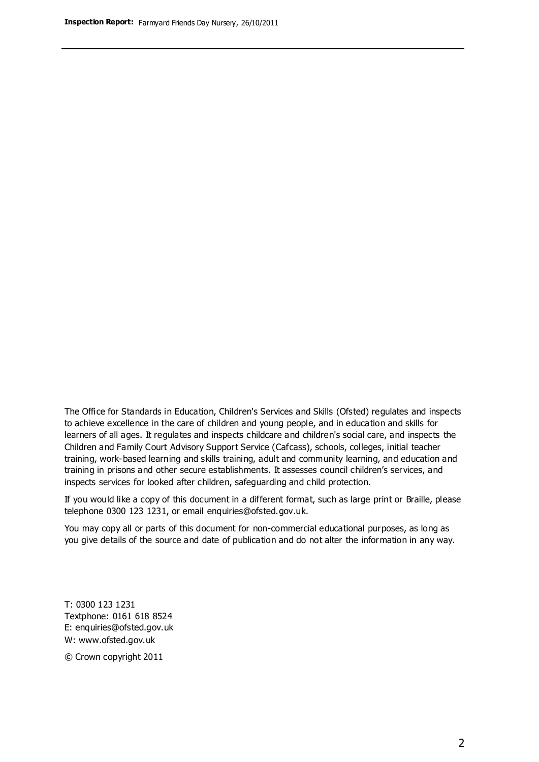The Office for Standards in Education, Children's Services and Skills (Ofsted) regulates and inspects to achieve excellence in the care of children and young people, and in education and skills for learners of all ages. It regulates and inspects childcare and children's social care, and inspects the Children and Family Court Advisory Support Service (Cafcass), schools, colleges, initial teacher training, work-based learning and skills training, adult and community learning, and education and training in prisons and other secure establishments. It assesses council children's services, and inspects services for looked after children, safeguarding and child protection.

If you would like a copy of this document in a different format, such as large print or Braille, please telephone 0300 123 1231, or email enquiries@ofsted.gov.uk.

You may copy all or parts of this document for non-commercial educational purposes, as long as you give details of the source and date of publication and do not alter the information in any way.

T: 0300 123 1231 Textphone: 0161 618 8524 E: enquiries@ofsted.gov.uk W: [www.ofsted.gov.uk](http://www.ofsted.gov.uk/)

© Crown copyright 2011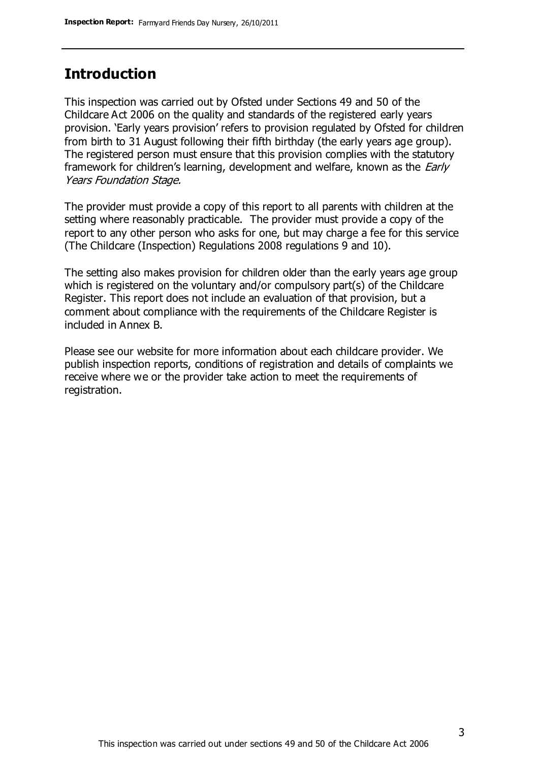## **Introduction**

This inspection was carried out by Ofsted under Sections 49 and 50 of the Childcare Act 2006 on the quality and standards of the registered early years provision. 'Early years provision' refers to provision regulated by Ofsted for children from birth to 31 August following their fifth birthday (the early years age group). The registered person must ensure that this provision complies with the statutory framework for children's learning, development and welfare, known as the *Early* Years Foundation Stage.

The provider must provide a copy of this report to all parents with children at the setting where reasonably practicable. The provider must provide a copy of the report to any other person who asks for one, but may charge a fee for this service (The Childcare (Inspection) Regulations 2008 regulations 9 and 10).

The setting also makes provision for children older than the early years age group which is registered on the voluntary and/or compulsory part(s) of the Childcare Register. This report does not include an evaluation of that provision, but a comment about compliance with the requirements of the Childcare Register is included in Annex B.

Please see our website for more information about each childcare provider. We publish inspection reports, conditions of registration and details of complaints we receive where we or the provider take action to meet the requirements of registration.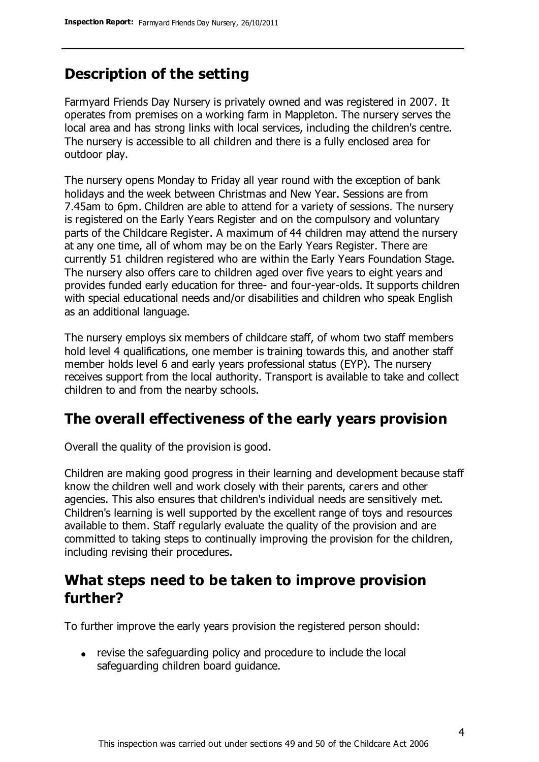# **Description of the setting**

Farmyard Friends Day Nursery is privately owned and was registered in 2007. It operates from premises on a working farm in Mappleton. The nursery serves the local area and has strong links with local services, including the children's centre. The nursery is accessible to all children and there is a fully enclosed area for outdoor play.

The nursery opens Monday to Friday all year round with the exception of bank holidays and the week between Christmas and New Year. Sessions are from 7.45am to 6pm. Children are able to attend for a variety of sessions. The nursery is registered on the Early Years Register and on the compulsory and voluntary parts of the Childcare Register. A maximum of 44 children may attend the nursery at any one time, all of whom may be on the Early Years Register. There are currently 51 children registered who are within the Early Years Foundation Stage. The nursery also offers care to children aged over five years to eight years and provides funded early education for three- and four-year-olds. It supports children with special educational needs and/or disabilities and children who speak English as an additional language.

The nursery employs six members of childcare staff, of whom two staff members hold level 4 qualifications, one member is training towards this, and another staff member holds level 6 and early years professional status (EYP). The nursery receives support from the local authority. Transport is available to take and collect children to and from the nearby schools.

## **The overall effectiveness of the early years provision**

Overall the quality of the provision is good.

Children are making good progress in their learning and development because staff know the children well and work closely with their parents, carers and other agencies. This also ensures that children's individual needs are sensitively met. Children's learning is well supported by the excellent range of toys and resources available to them. Staff regularly evaluate the quality of the provision and are committed to taking steps to continually improving the provision for the children, including revising their procedures.

## **What steps need to be taken to improve provision further?**

To further improve the early years provision the registered person should:

revise the safeguarding policy and procedure to include the local safeguarding children board guidance.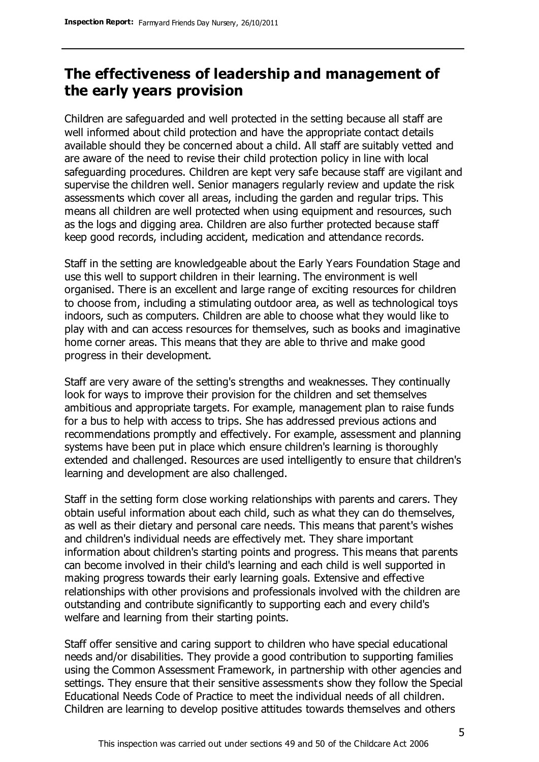# **The effectiveness of leadership and management of the early years provision**

Children are safeguarded and well protected in the setting because all staff are well informed about child protection and have the appropriate contact details available should they be concerned about a child. All staff are suitably vetted and are aware of the need to revise their child protection policy in line with local safeguarding procedures. Children are kept very safe because staff are vigilant and supervise the children well. Senior managers regularly review and update the risk assessments which cover all areas, including the garden and regular trips. This means all children are well protected when using equipment and resources, such as the logs and digging area. Children are also further protected because staff keep good records, including accident, medication and attendance records.

Staff in the setting are knowledgeable about the Early Years Foundation Stage and use this well to support children in their learning. The environment is well organised. There is an excellent and large range of exciting resources for children to choose from, including a stimulating outdoor area, as well as technological toys indoors, such as computers. Children are able to choose what they would like to play with and can access resources for themselves, such as books and imaginative home corner areas. This means that they are able to thrive and make good progress in their development.

Staff are very aware of the setting's strengths and weaknesses. They continually look for ways to improve their provision for the children and set themselves ambitious and appropriate targets. For example, management plan to raise funds for a bus to help with access to trips. She has addressed previous actions and recommendations promptly and effectively. For example, assessment and planning systems have been put in place which ensure children's learning is thoroughly extended and challenged. Resources are used intelligently to ensure that children's learning and development are also challenged.

Staff in the setting form close working relationships with parents and carers. They obtain useful information about each child, such as what they can do themselves, as well as their dietary and personal care needs. This means that parent's wishes and children's individual needs are effectively met. They share important information about children's starting points and progress. This means that parents can become involved in their child's learning and each child is well supported in making progress towards their early learning goals. Extensive and effective relationships with other provisions and professionals involved with the children are outstanding and contribute significantly to supporting each and every child's welfare and learning from their starting points.

Staff offer sensitive and caring support to children who have special educational needs and/or disabilities. They provide a good contribution to supporting families using the Common Assessment Framework, in partnership with other agencies and settings. They ensure that their sensitive assessments show they follow the Special Educational Needs Code of Practice to meet the individual needs of all children. Children are learning to develop positive attitudes towards themselves and others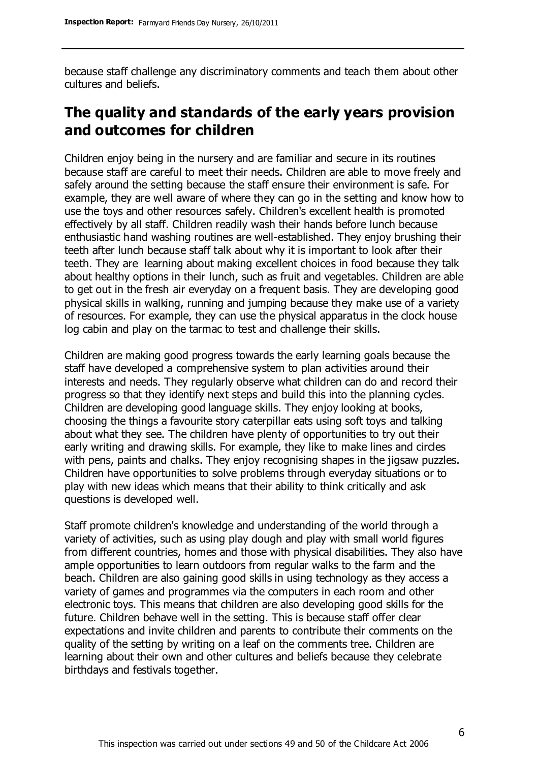because staff challenge any discriminatory comments and teach them about other cultures and beliefs.

# **The quality and standards of the early years provision and outcomes for children**

Children enjoy being in the nursery and are familiar and secure in its routines because staff are careful to meet their needs. Children are able to move freely and safely around the setting because the staff ensure their environment is safe. For example, they are well aware of where they can go in the setting and know how to use the toys and other resources safely. Children's excellent health is promoted effectively by all staff. Children readily wash their hands before lunch because enthusiastic hand washing routines are well-established. They enjoy brushing their teeth after lunch because staff talk about why it is important to look after their teeth. They are learning about making excellent choices in food because they talk about healthy options in their lunch, such as fruit and vegetables. Children are able to get out in the fresh air everyday on a frequent basis. They are developing good physical skills in walking, running and jumping because they make use of a variety of resources. For example, they can use the physical apparatus in the clock house log cabin and play on the tarmac to test and challenge their skills.

Children are making good progress towards the early learning goals because the staff have developed a comprehensive system to plan activities around their interests and needs. They regularly observe what children can do and record their progress so that they identify next steps and build this into the planning cycles. Children are developing good language skills. They enjoy looking at books, choosing the things a favourite story caterpillar eats using soft toys and talking about what they see. The children have plenty of opportunities to try out their early writing and drawing skills. For example, they like to make lines and circles with pens, paints and chalks. They enjoy recognising shapes in the jigsaw puzzles. Children have opportunities to solve problems through everyday situations or to play with new ideas which means that their ability to think critically and ask questions is developed well.

Staff promote children's knowledge and understanding of the world through a variety of activities, such as using play dough and play with small world figures from different countries, homes and those with physical disabilities. They also have ample opportunities to learn outdoors from regular walks to the farm and the beach. Children are also gaining good skills in using technology as they access a variety of games and programmes via the computers in each room and other electronic toys. This means that children are also developing good skills for the future. Children behave well in the setting. This is because staff offer clear expectations and invite children and parents to contribute their comments on the quality of the setting by writing on a leaf on the comments tree. Children are learning about their own and other cultures and beliefs because they celebrate birthdays and festivals together.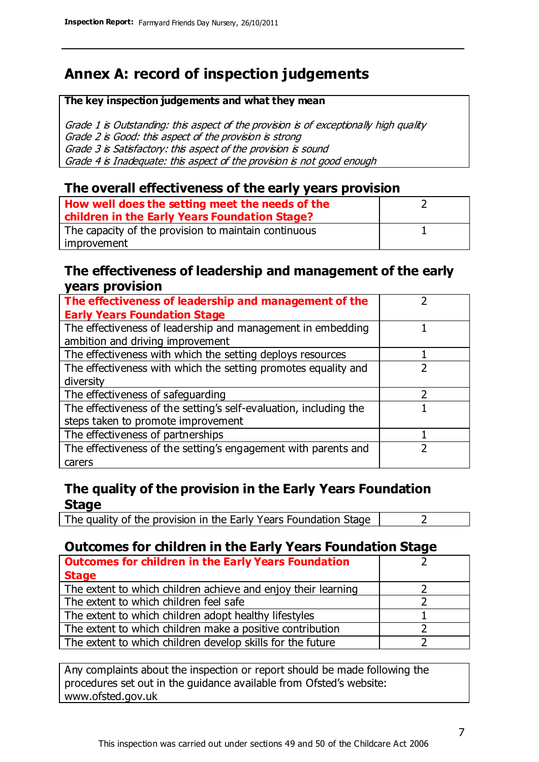# **Annex A: record of inspection judgements**

#### **The key inspection judgements and what they mean**

Grade 1 is Outstanding: this aspect of the provision is of exceptionally high quality Grade 2 is Good: this aspect of the provision is strong Grade 3 is Satisfactory: this aspect of the provision is sound Grade 4 is Inadequate: this aspect of the provision is not good enough

### **The overall effectiveness of the early years provision**

| How well does the setting meet the needs of the      |  |
|------------------------------------------------------|--|
| children in the Early Years Foundation Stage?        |  |
| The capacity of the provision to maintain continuous |  |
| improvement                                          |  |

### **The effectiveness of leadership and management of the early years provision**

| The effectiveness of leadership and management of the             |  |
|-------------------------------------------------------------------|--|
| <b>Early Years Foundation Stage</b>                               |  |
| The effectiveness of leadership and management in embedding       |  |
| ambition and driving improvement                                  |  |
| The effectiveness with which the setting deploys resources        |  |
| The effectiveness with which the setting promotes equality and    |  |
| diversity                                                         |  |
| The effectiveness of safeguarding                                 |  |
| The effectiveness of the setting's self-evaluation, including the |  |
| steps taken to promote improvement                                |  |
| The effectiveness of partnerships                                 |  |
| The effectiveness of the setting's engagement with parents and    |  |
| carers                                                            |  |

## **The quality of the provision in the Early Years Foundation Stage**

The quality of the provision in the Early Years Foundation Stage  $\vert$  2

## **Outcomes for children in the Early Years Foundation Stage**

| <b>Outcomes for children in the Early Years Foundation</b>    |  |
|---------------------------------------------------------------|--|
| <b>Stage</b>                                                  |  |
| The extent to which children achieve and enjoy their learning |  |
| The extent to which children feel safe                        |  |
| The extent to which children adopt healthy lifestyles         |  |
| The extent to which children make a positive contribution     |  |
| The extent to which children develop skills for the future    |  |

Any complaints about the inspection or report should be made following the procedures set out in the guidance available from Ofsted's website: www.ofsted.gov.uk